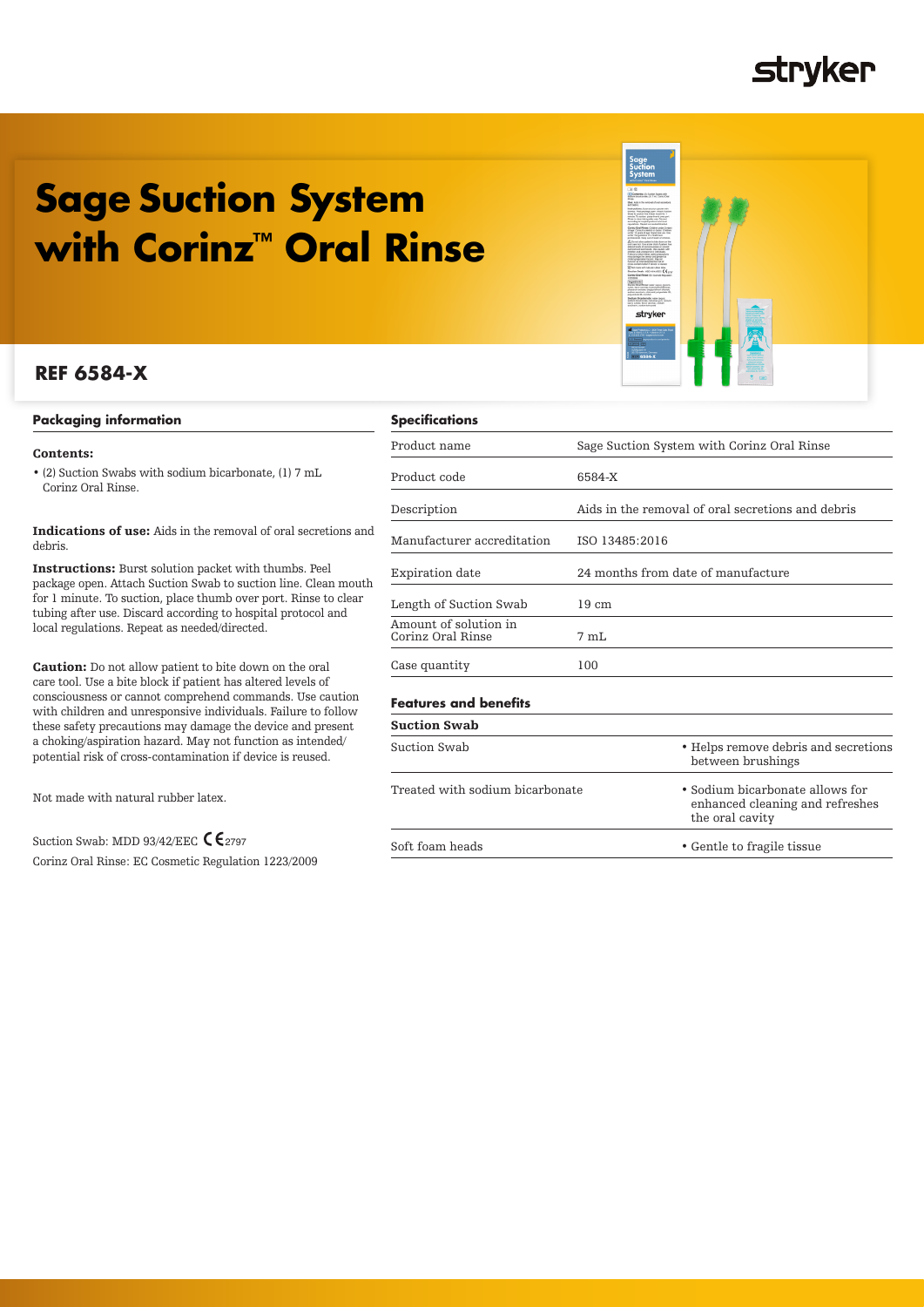### **stryker**

# **Sage Suction System with Corinz™ Oral Rinse**

### **REF 6584-X**

### **Packaging information**

### Contents:

• (2) Suction Swabs with sodium bicarbonate, (1) 7 mL Corinz Oral Rinse.

Indications of use: Aids in the removal of oral secretions and debris.

Instructions: Burst solution packet with thumbs. Peel package open. Attach Suction Swab to suction line. Clean mouth for 1 minute. To suction, place thumb over port. Rinse to clear tubing after use. Discard according to hospital protocol and local regulations. Repeat as needed/directed.

Caution: Do not allow patient to bite down on the oral care tool. Use a bite block if patient has altered levels of consciousness or cannot comprehend commands. Use caution with children and unresponsive individuals. Failure to follow these safety precautions may damage the device and present a choking/aspiration hazard. May not function as intended/ potential risk of cross-contamination if device is reused.

Not made with natural rubber latex.

Suction Swab: MDD 93/42/EEC  $\zeta_{\rm 2797}$ Corinz Oral Rinse: EC Cosmetic Regulation 1223/2009

### **Specifications**

| Product name                               | Sage Suction System with Corinz Oral Rinse        |  |
|--------------------------------------------|---------------------------------------------------|--|
| Product code                               | 6584-X                                            |  |
| Description                                | Aids in the removal of oral secretions and debris |  |
| Manufacturer accreditation                 | ISO 13485:2016                                    |  |
| Expiration date                            | 24 months from date of manufacture                |  |
| Length of Suction Swab                     | $19 \text{ cm}$                                   |  |
| Amount of solution in<br>Corinz Oral Rinse | 7 mL                                              |  |
| Case quantity                              | 100                                               |  |
| <b>Features and benefits</b>               |                                                   |  |
|                                            |                                                   |  |

|                     | LCAIOLCS GIRL BCIICHIS |  |
|---------------------|------------------------|--|
| <b>Suction Swab</b> |                        |  |

| e the device and present-                         | <b>Suction Swap</b>             |                                                                                       |  |  |
|---------------------------------------------------|---------------------------------|---------------------------------------------------------------------------------------|--|--|
| t function as intended/<br>1 if device is reused. | Suction Swab                    | • Helps remove debris and secretions<br>between brushings                             |  |  |
|                                                   | Treated with sodium bicarbonate | • Sodium bicarbonate allows for<br>enhanced cleaning and refreshes<br>the oral cavity |  |  |
| 2797<br>.                                         | Soft foam heads                 | • Gentle to fragile tissue                                                            |  |  |